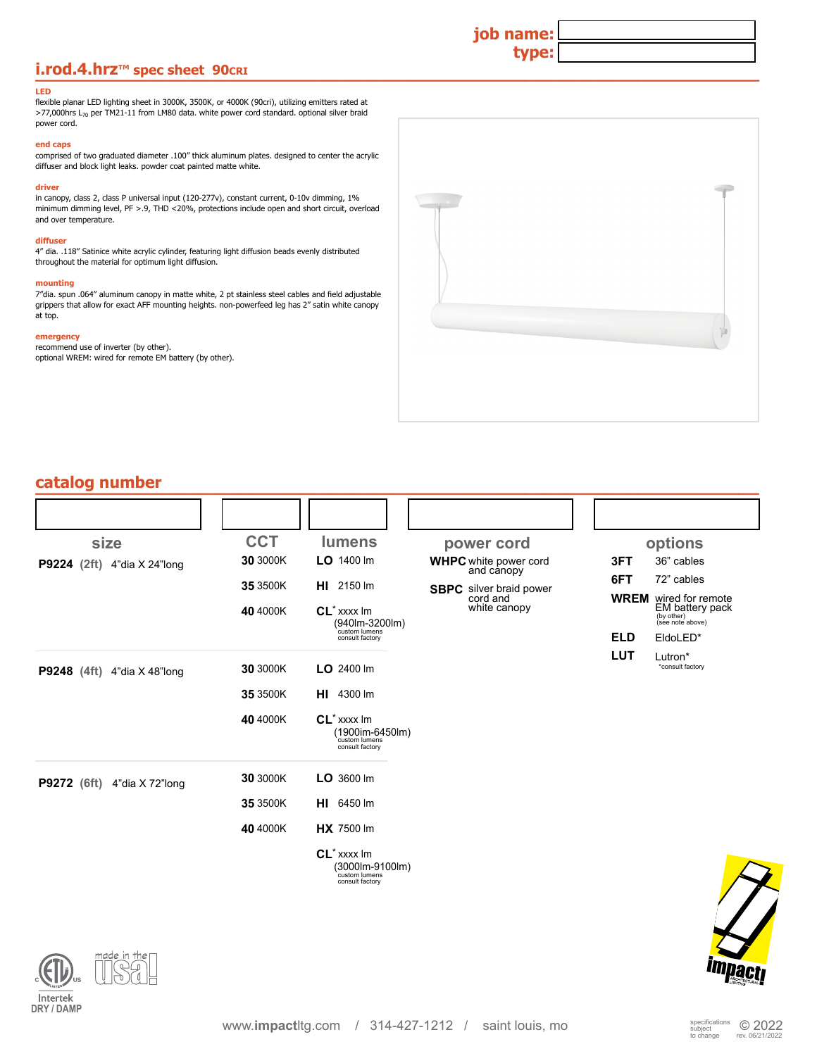## **i.rod.4.hrz**™ spec sheet 90cRI **Development of the state of the state of the state of the state of the state of the state of the state of the state of the state of the state of the state of the state of the state of the**

#### **LED**

flexible planar LED lighting sheet in 3000K, 3500K, or 4000K (90cri), utilizing emitters rated at  $>77,000$ hrs L<sub>70</sub> per TM21-11 from LM80 data. white power cord standard. optional silver braid power cord.

### **end caps**

comprised of two graduated diameter .100" thick aluminum plates. designed to center the acrylic diffuser and block light leaks. powder coat painted matte white.

#### **driver**

in canopy, class 2, class P universal input (120-277v), constant current, 0-10v dimming, 1% minimum dimming level, PF >.9, THD <20%, protections include open and short circuit, overload and over temperature.

#### **diffuser**

4" dia. .118" Satinice white acrylic cylinder, featuring light diffusion beads evenly distributed throughout the material for optimum light diffusion.

#### **mounting**

7"dia. spun .064" aluminum canopy in matte white, 2 pt stainless steel cables and field adjustable grippers that allow for exact AFF mounting heights. non-powerfeed leg has 2" satin white canopy at top.

#### **emergency**

recommend use of inverter (by other). optional WREM: wired for remote EM battery (by other).



**job name:**

**type:**

| catalog number                        |            |                                                                                |                                            |            |                                                                                   |
|---------------------------------------|------------|--------------------------------------------------------------------------------|--------------------------------------------|------------|-----------------------------------------------------------------------------------|
|                                       |            |                                                                                |                                            |            |                                                                                   |
| size                                  | <b>CCT</b> | <b>lumens</b>                                                                  | power cord                                 |            | options                                                                           |
| P9224 (2ft) 4"dia X 24"long           | 30 3000K   | LO 1400 lm                                                                     | <b>WHPC</b> white power cord<br>and canopy | 3FT        | 36" cables                                                                        |
|                                       | 35 3500K   | HI 2150 Im                                                                     | <b>SBPC</b> silver braid power             | 6FT        | 72" cables                                                                        |
|                                       | 40 4000K   | $CL^*$ xxxx $Im$<br>(940lm-3200lm)                                             | cord and<br>white canopy                   |            | <b>WREM</b> wired for remote<br>EM battery pack<br>(by other)<br>(see note above) |
|                                       |            | custom lumens<br>consult factory                                               |                                            | <b>ELD</b> | EldoLED*                                                                          |
| P9248 (4ft) 4"dia X 48"long           | 30 3000K   | LO 2400 lm                                                                     |                                            | <b>LUT</b> | Lutron*<br>*consult factory                                                       |
|                                       | 35 3500K   | <b>HI</b> 4300 lm                                                              |                                            |            |                                                                                   |
|                                       | 40 4000K   | $CL^*$ xxxx $Im$<br>(1900im-6450lm)<br>custom lumens<br>consult factory        |                                            |            |                                                                                   |
| <b>P9272</b> (6ft)<br>4"dia X 72"long | 30 3000K   | $LO$ 3600 lm                                                                   |                                            |            |                                                                                   |
|                                       | 35 3500K   | <b>HI</b> 6450 lm                                                              |                                            |            |                                                                                   |
|                                       | 40 4000K   | <b>HX</b> 7500 lm                                                              |                                            |            |                                                                                   |
|                                       |            | CL <sup>*</sup> xxxx Im<br>(3000lm-9100lm)<br>custom lumens<br>consult factory |                                            |            |                                                                                   |



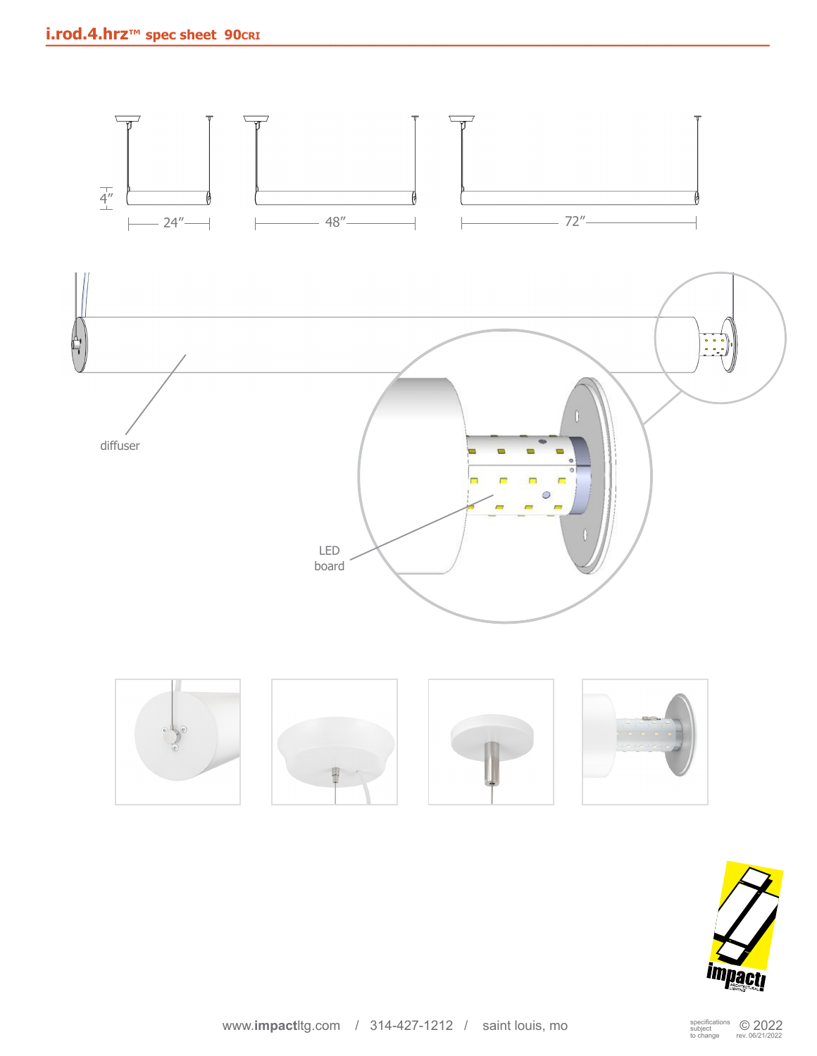